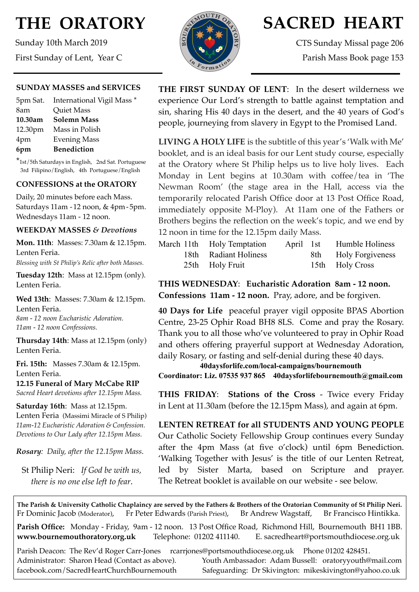# **THE ORATORY**

Sunday 10th March 2019 First Sunday of Lent, Year C

#### **SUNDAY MASSES and SERVICES**

|         | 5pm Sat. International Vigil Mass * |
|---------|-------------------------------------|
| 8am     | Quiet Mass                          |
| 10.30am | <b>Solemn Mass</b>                  |
|         | 12.30pm Mass in Polish              |
| 4pm     | <b>Evening Mass</b>                 |
| 6pm     | <b>Benediction</b>                  |

\*1st/5th Saturdays in English, 2nd Sat. Portuguese 3rd Filipino/English, 4th Portuguese/English

## **CONFESSIONS at the ORATORY**

Daily, 20 minutes before each Mass. Saturdays 11am - 12 noon, & 4pm- 5pm. Wednesdays 11am - 12 noon.

## **WEEKDAY MASSES** *& Devotions*

**Mon. 11th**: Masses: 7.30am & 12.15pm. Lenten Feria.

*Blessing with St Philip's Relic after both Masses.*

**Tuesday 12th**: Mass at 12.15pm (only). Lenten Feria.

**Wed 13th**: Masses: 7.30am & 12.15pm. Lenten Feria. *8am - 12 noon Eucharistic Adoration. 11am - 12 noon Confessions.*

**Thursday 14th**: Mass at 12.15pm (only) Lenten Feria.

**Fri. 15th:** Masses 7.30am & 12.15pm. Lenten Feria.

**12.15 Funeral of Mary McCabe RIP** *Sacred Heart devotions after 12.15pm Mass.*

**Saturday 16th**: Mass at 12.15pm. Lenten Feria (Massimi Miracle of S Philip) *11am-12 Eucharistic Adoration & Confession. Devotions to Our Lady after 12.15pm Mass.*

*Rosary: Daily, after the 12.15pm Mass*.

St Philip Neri: *If God be with us, there is no one else left to fear*.



## **SACRED HEART**

CTS Sunday Missal page 206 Parish Mass Book page 153

**THE FIRST SUNDAY OF LENT**: In the desert wilderness we experience Our Lord's strength to battle against temptation and sin, sharing His 40 days in the desert, and the 40 years of God's people, journeying from slavery in Egypt to the Promised Land.

**LIVING A HOLY LIFE** is the subtitle of this year's 'Walk with Me' booklet, and is an ideal basis for our Lent study course, especially at the Oratory where St Philip helps us to live holy lives. Each Monday in Lent begins at 10.30am with coffee/tea in 'The Newman Room' (the stage area in the Hall, access via the temporarily relocated Parish Office door at 13 Post Office Road, immediately opposite M-Ploy). At 11am one of the Fathers or Brothers begins the reflection on the week's topic, and we end by 12 noon in time for the 12.15pm daily Mass.

|  | March 11th Holy Temptation | April 1st | Humble Holiness      |
|--|----------------------------|-----------|----------------------|
|  | 18th Radiant Holiness      |           | 8th Holy Forgiveness |
|  | 25th Holy Fruit            |           | 15th Holy Cross      |

**THIS WEDNESDAY**: **Eucharistic Adoration 8am - 12 noon. Confessions 11am - 12 noon.** Pray, adore, and be forgiven.

**40 Days for Life** peaceful prayer vigil opposite BPAS Abortion Centre, 23-25 Ophir Road BH8 8LS. Come and pray the Rosary. Thank you to all those who've volunteered to pray in Ophir Road and others offering prayerful support at Wednesday Adoration, daily Rosary, or fasting and self-denial during these 40 days.

**40daysforlife.com/local-campaigns/bournemouth Coordinator: Liz. 07535 937 865 40daysforlifebournemouth@gmail.com**

**THIS FRIDAY**: **Stations of the Cross** - Twice every Friday in Lent at 11.30am (before the 12.15pm Mass), and again at 6pm.

**LENTEN RETREAT for all STUDENTS AND YOUNG PEOPLE**  Our Catholic Society Fellowship Group continues every Sunday after the 4pm Mass (at five o'clock) until 6pm Benediction. 'Walking Together with Jesus' is the title of our Lenten Retreat, led by Sister Marta, based on Scripture and prayer. The Retreat booklet is available on our website - see below.

**The Parish & University Catholic Chaplaincy are served by the Fathers & Brothers of the Oratorian Community of St Philip Neri.** Fr Dominic Jacob (Moderator), Fr Peter Edwards (Parish Priest), Br Andrew Wagstaff, Br Francisco Hintikka.

**Parish Office:** Monday - Friday, 9am - 12 noon. 13 Post Office Road, Richmond Hill, Bournemouth BH1 1BB. **[www.bournemouthoratory.org.uk](http://www.bournemoithoratory.org.uk)** Telephone: 01202 411140. E. [sacredheart@portsmouthdiocese.org.uk](mailto:sacredheart@portsmouthdiocese.org.uk)

Parish Deacon: The Rev'd Roger Carr-Jones [rcarrjones@portsmouthdiocese.org.uk](mailto:rcarrjones@portsmouthdiocese.org.uk) Phone 01202 428451.

Administrator: Sharon Head (Contact as above). Youth Ambassador: Adam Bussell: [oratoryyouth@mail.com](http://oratoryyouth.mail.com) [facebook.com/SacredHeartChurchBournemouth](http://facebook.com/SaccredHeartChurchBournemouth) Safeguarding: Dr Skivington: mikeskivington@yahoo.co.uk